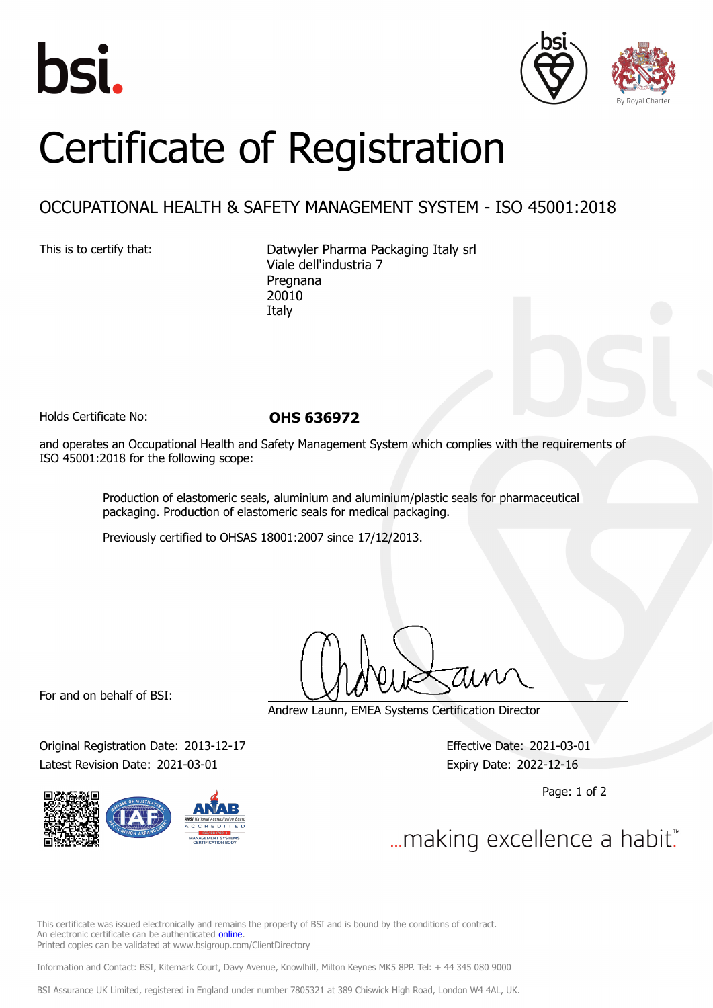





## Certificate of Registration

## OCCUPATIONAL HEALTH & SAFETY MANAGEMENT SYSTEM - ISO 45001:2018

This is to certify that: Datwyler Pharma Packaging Italy srl Viale dell'industria 7 Pregnana 20010 Italy

Holds Certificate No: **OHS 636972**

and operates an Occupational Health and Safety Management System which complies with the requirements of ISO 45001:2018 for the following scope:

> Production of elastomeric seals, aluminium and aluminium/plastic seals for pharmaceutical packaging. Production of elastomeric seals for medical packaging.

Previously certified to OHSAS 18001:2007 since 17/12/2013.

For and on behalf of BSI:

Andrew Launn, EMEA Systems Certification Director

Original Registration Date: 2013-12-17 Effective Date: 2021-03-01 Latest Revision Date: 2021-03-01 Expiry Date: 2022-12-16

Page: 1 of 2

... making excellence a habit."

This certificate was issued electronically and remains the property of BSI and is bound by the conditions of contract. An electronic certificate can be authenticated [online](https://pgplus.bsigroup.com/CertificateValidation/CertificateValidator.aspx?CertificateNumber=OHS+636972&ReIssueDate=01%2f03%2f2021&Template=cemea_en) Printed copies can be validated at www.bsigroup.com/ClientDirectory

Information and Contact: BSI, Kitemark Court, Davy Avenue, Knowlhill, Milton Keynes MK5 8PP. Tel: + 44 345 080 9000

BSI Assurance UK Limited, registered in England under number 7805321 at 389 Chiswick High Road, London W4 4AL, UK.